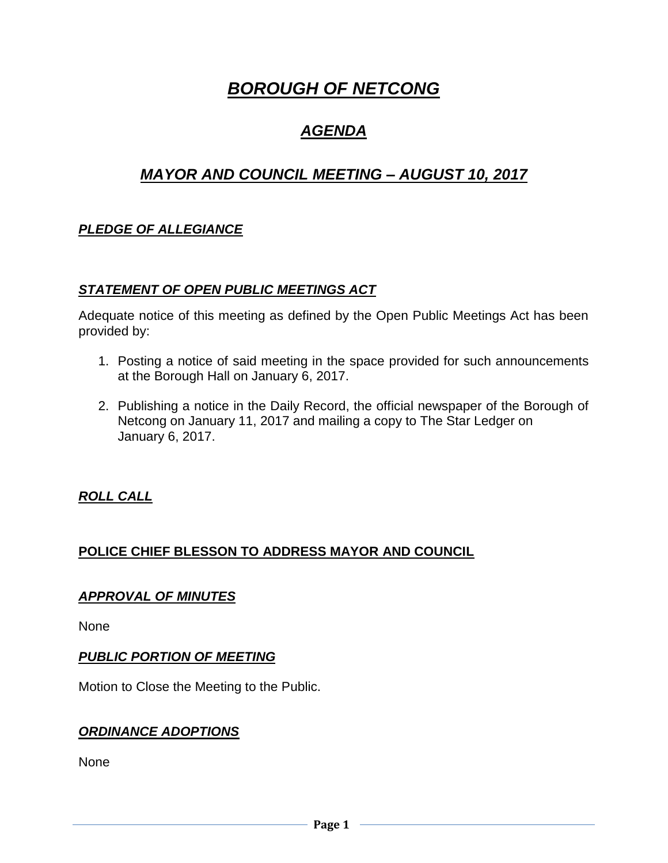# *BOROUGH OF NETCONG*

## *AGENDA*

## *MAYOR AND COUNCIL MEETING – AUGUST 10, 2017*

## *PLEDGE OF ALLEGIANCE*

#### *STATEMENT OF OPEN PUBLIC MEETINGS ACT*

Adequate notice of this meeting as defined by the Open Public Meetings Act has been provided by:

- 1. Posting a notice of said meeting in the space provided for such announcements at the Borough Hall on January 6, 2017.
- 2. Publishing a notice in the Daily Record, the official newspaper of the Borough of Netcong on January 11, 2017 and mailing a copy to The Star Ledger on January 6, 2017.

#### *ROLL CALL*

## **POLICE CHIEF BLESSON TO ADDRESS MAYOR AND COUNCIL**

#### *APPROVAL OF MINUTES*

None

#### *PUBLIC PORTION OF MEETING*

Motion to Close the Meeting to the Public.

#### *ORDINANCE ADOPTIONS*

None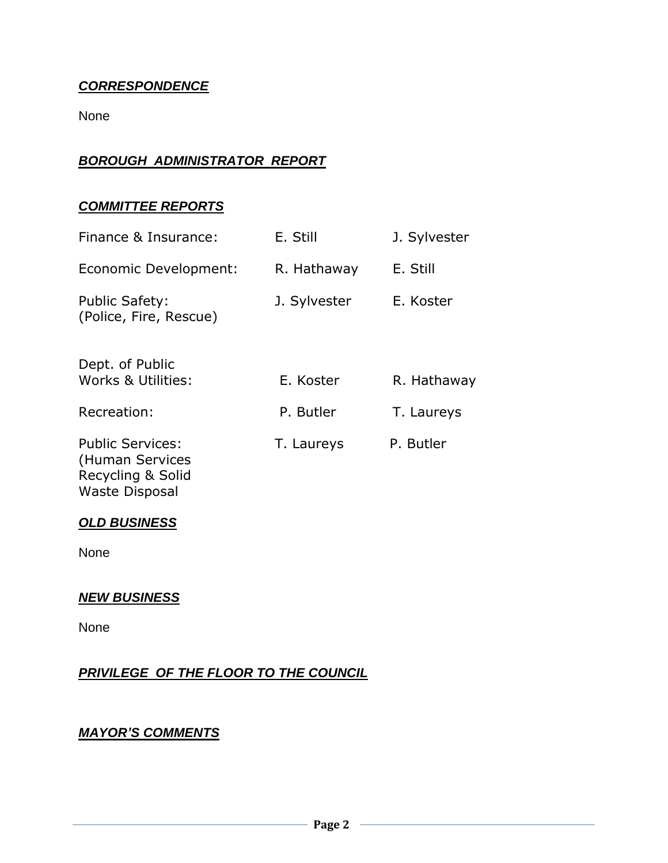### *CORRESPONDENCE*

None

## *BOROUGH ADMINISTRATOR REPORT*

#### *COMMITTEE REPORTS*

| Finance & Insurance:                                            | E. Still     | J. Sylvester |
|-----------------------------------------------------------------|--------------|--------------|
| Economic Development:                                           | R. Hathaway  | E. Still     |
| <b>Public Safety:</b><br>(Police, Fire, Rescue)                 | J. Sylvester | E. Koster    |
| Dept. of Public<br>Works & Utilities:                           | E. Koster    | R. Hathaway  |
| Recreation:                                                     | P. Butler    | T. Laureys   |
| <b>Public Services:</b><br>(Human Services<br>Recycling & Solid | T. Laureys   | P. Butler    |

#### *OLD BUSINESS*

Waste Disposal

None

#### *NEW BUSINESS*

None

## *PRIVILEGE OF THE FLOOR TO THE COUNCIL*

## *MAYOR'S COMMENTS*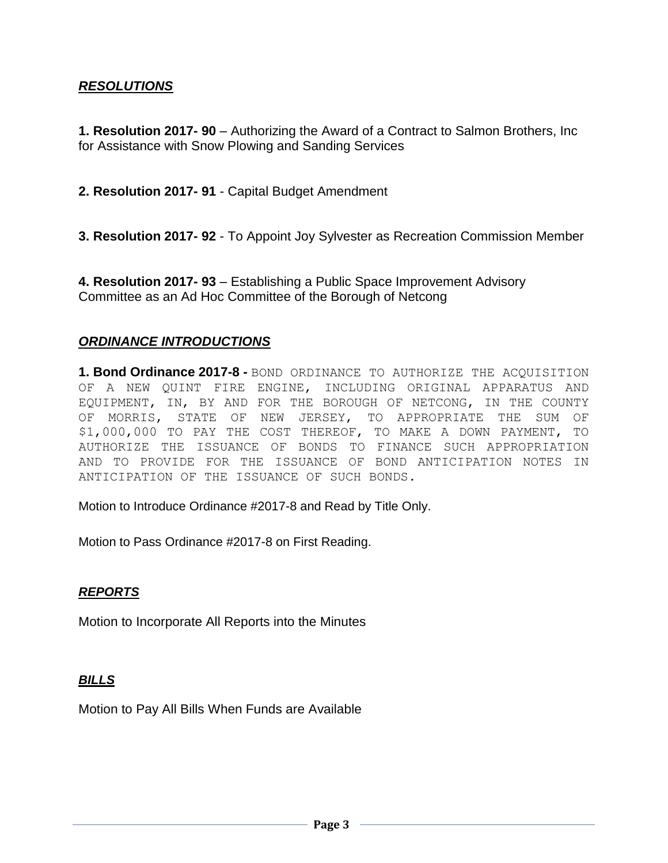#### *RESOLUTIONS*

**1. Resolution 2017- 90** – Authorizing the Award of a Contract to Salmon Brothers, Inc for Assistance with Snow Plowing and Sanding Services

**2. Resolution 2017- 91** - Capital Budget Amendment

**3. Resolution 2017- 92** - To Appoint Joy Sylvester as Recreation Commission Member

**4. Resolution 2017- 93** – Establishing a Public Space Improvement Advisory Committee as an Ad Hoc Committee of the Borough of Netcong

#### *ORDINANCE INTRODUCTIONS*

**1. Bond Ordinance 2017-8 -** BOND ORDINANCE TO AUTHORIZE THE ACQUISITION OF A NEW QUINT FIRE ENGINE, INCLUDING ORIGINAL APPARATUS AND EQUIPMENT, IN, BY AND FOR THE BOROUGH OF NETCONG, IN THE COUNTY OF MORRIS, STATE OF NEW JERSEY, TO APPROPRIATE THE SUM OF \$1,000,000 TO PAY THE COST THEREOF, TO MAKE A DOWN PAYMENT, TO AUTHORIZE THE ISSUANCE OF BONDS TO FINANCE SUCH APPROPRIATION AND TO PROVIDE FOR THE ISSUANCE OF BOND ANTICIPATION NOTES IN ANTICIPATION OF THE ISSUANCE OF SUCH BONDS.

Motion to Introduce Ordinance #2017-8 and Read by Title Only.

Motion to Pass Ordinance #2017-8 on First Reading.

#### *REPORTS*

Motion to Incorporate All Reports into the Minutes

#### *BILLS*

Motion to Pay All Bills When Funds are Available